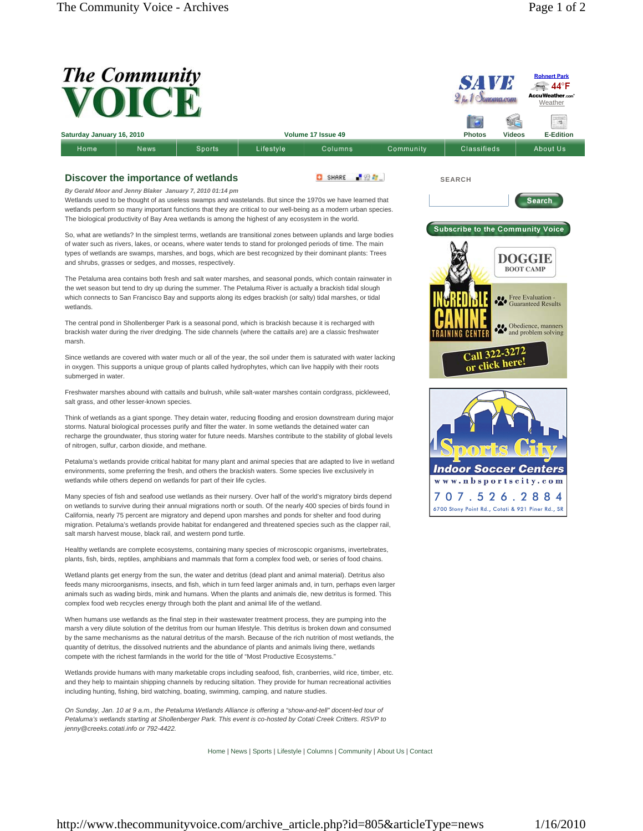

http://www.thecommunityvoice.com/archive\_article.php?id=805&articleType=news 1/16/2010